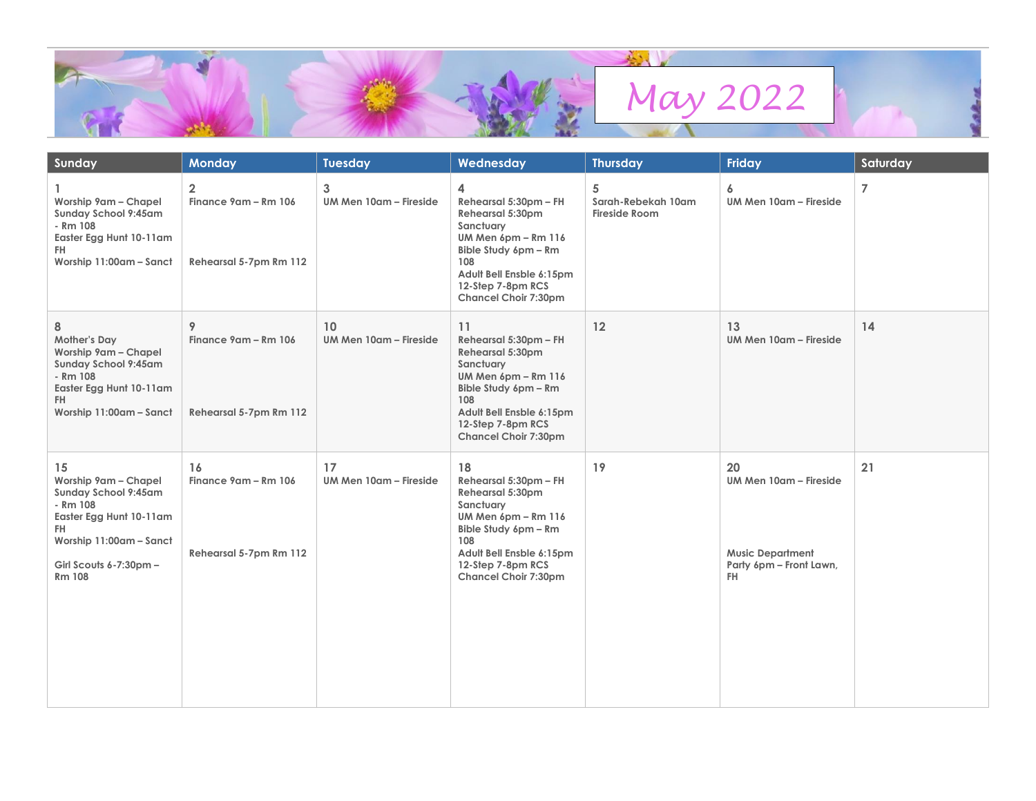

| Sunday                                                                                                                                                                 | <b>Monday</b>                                                    | <b>Tuesday</b>               | Wednesday                                                                                                                                                                                          | <b>Thursday</b>                                 | Friday                                                                                    | Saturday       |
|------------------------------------------------------------------------------------------------------------------------------------------------------------------------|------------------------------------------------------------------|------------------------------|----------------------------------------------------------------------------------------------------------------------------------------------------------------------------------------------------|-------------------------------------------------|-------------------------------------------------------------------------------------------|----------------|
| Worship 9am - Chapel<br>Sunday School 9:45am<br>- Rm 108<br>Easter Egg Hunt 10-11am<br>FH.<br>Worship 11:00am - Sanct                                                  | $\overline{2}$<br>Finance 9am - Rm 106<br>Rehearsal 5-7pm Rm 112 | 3<br>UM Men 10am - Fireside  | 4<br>Rehearsal 5:30pm - FH<br>Rehearsal 5:30pm<br>Sanctuary<br>UM Men 6pm - Rm 116<br>Bible Study 6pm - Rm<br>108<br>Adult Bell Ensble 6:15pm<br>12-Step 7-8pm RCS<br>Chancel Choir 7:30pm         | 5<br>Sarah-Rebekah 10am<br><b>Fireside Room</b> | 6<br>UM Men 10am - Fireside                                                               | $\overline{7}$ |
| 8<br>Mother's Day<br>Worship 9am - Chapel<br><b>Sunday School 9:45am</b><br>- Rm 108<br>Easter Egg Hunt 10-11am<br>FH.<br>Worship 11:00am - Sanct                      | 9<br>Finance 9am - Rm 106<br>Rehearsal 5-7pm Rm 112              | 10<br>UM Men 10am - Fireside | 11<br>Rehearsal 5:30pm - FH<br>Rehearsal 5:30pm<br>Sanctuary<br>UM Men 6pm - Rm 116<br>Bible Study 6pm - Rm<br>108<br>Adult Bell Ensble 6:15pm<br>12-Step 7-8pm RCS<br><b>Chancel Choir 7:30pm</b> | 12                                              | 13<br>UM Men 10am - Fireside                                                              | 14             |
| 15<br>Worship 9am - Chapel<br>Sunday School 9:45am<br>- Rm 108<br>Easter Egg Hunt 10-11am<br>FH.<br>Worship 11:00am - Sanct<br>Girl Scouts 6-7:30pm -<br><b>Rm 108</b> | 16<br>Finance 9am - Rm 106<br>Rehearsal 5-7pm Rm 112             | 17<br>UM Men 10am - Fireside | 18<br>Rehearsal 5:30pm - FH<br>Rehearsal 5:30pm<br>Sanctuary<br>UM Men 6pm - Rm 116<br>Bible Study 6pm - Rm<br>108<br>Adult Bell Ensble 6:15pm<br>12-Step 7-8pm RCS<br>Chancel Choir 7:30pm        | 19                                              | 20<br>UM Men 10am - Fireside<br><b>Music Department</b><br>Party 6pm - Front Lawn,<br>FH. | 21             |